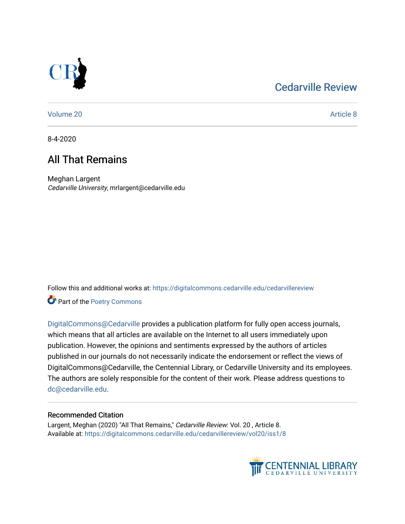## [Cedarville Review](https://digitalcommons.cedarville.edu/cedarvillereview)



[Volume 20](https://digitalcommons.cedarville.edu/cedarvillereview/vol20) [Article 8](https://digitalcommons.cedarville.edu/cedarvillereview/vol20/iss1/8) 

8-4-2020

## All That Remains

Meghan Largent Cedarville University, mrlargent@cedarville.edu

Follow this and additional works at: [https://digitalcommons.cedarville.edu/cedarvillereview](https://digitalcommons.cedarville.edu/cedarvillereview?utm_source=digitalcommons.cedarville.edu%2Fcedarvillereview%2Fvol20%2Fiss1%2F8&utm_medium=PDF&utm_campaign=PDFCoverPages) 

Part of the [Poetry Commons](http://network.bepress.com/hgg/discipline/1153?utm_source=digitalcommons.cedarville.edu%2Fcedarvillereview%2Fvol20%2Fiss1%2F8&utm_medium=PDF&utm_campaign=PDFCoverPages) 

[DigitalCommons@Cedarville](http://digitalcommons.cedarville.edu/) provides a publication platform for fully open access journals, which means that all articles are available on the Internet to all users immediately upon publication. However, the opinions and sentiments expressed by the authors of articles published in our journals do not necessarily indicate the endorsement or reflect the views of DigitalCommons@Cedarville, the Centennial Library, or Cedarville University and its employees. The authors are solely responsible for the content of their work. Please address questions to [dc@cedarville.edu.](mailto:dc@cedarville.edu)

#### Recommended Citation

Largent, Meghan (2020) "All That Remains," Cedarville Review: Vol. 20 , Article 8. Available at: [https://digitalcommons.cedarville.edu/cedarvillereview/vol20/iss1/8](https://digitalcommons.cedarville.edu/cedarvillereview/vol20/iss1/8?utm_source=digitalcommons.cedarville.edu%2Fcedarvillereview%2Fvol20%2Fiss1%2F8&utm_medium=PDF&utm_campaign=PDFCoverPages) 

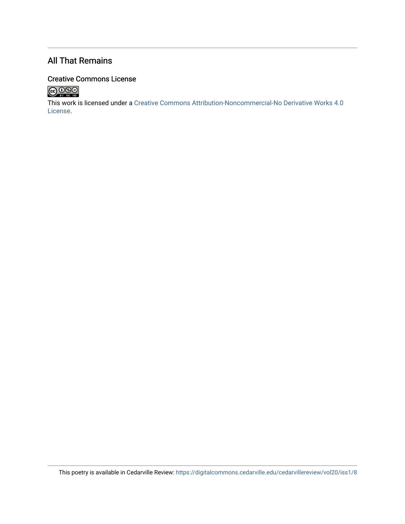### All That Remains

#### Creative Commons License



This work is licensed under a [Creative Commons Attribution-Noncommercial-No Derivative Works 4.0](http://creativecommons.org/licenses/by-nc-nd/4.0/) [License](http://creativecommons.org/licenses/by-nc-nd/4.0/).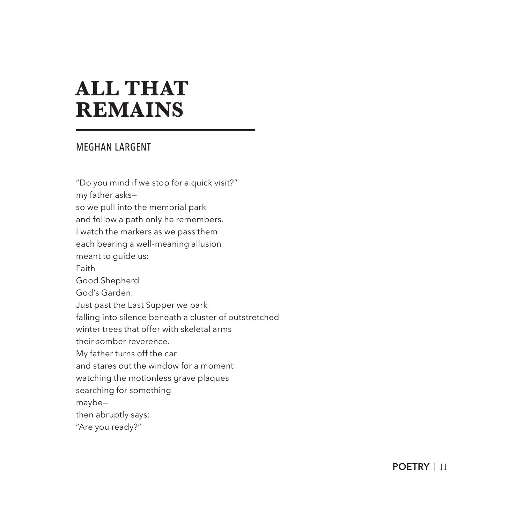# **ALL THAT REMAINS**

#### MEGHAN LARGENT

"Do you mind if we stop for a quick visit?" my father asks so we pull into the memorial park and follow a path only he remembers. I watch the markers as we pass them each bearing a well-meaning allusion meant to guide us: Faith Good Shepherd God's Garden. Just past the Last Supper we park falling into silence beneath a cluster of outstretched winter trees that offer with skeletal arms their somber reverence. My father turns off the car and stares out the window for a moment watching the motionless grave plaques searching for something maybe then abruptly says: "Are you ready?"

**POETRY** | 11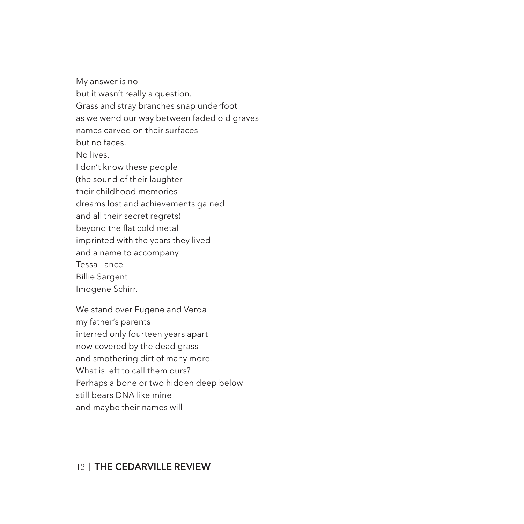My answer is no but it wasn't really a question. Grass and stray branches snap underfoot as we wend our way between faded old graves names carved on their surfaces but no faces. No lives. I don't know these people (the sound of their laughter their childhood memories dreams lost and achievements gained and all their secret regrets) beyond the flat cold metal imprinted with the years they lived and a name to accompany: Tessa Lance Billie Sargent Imogene Schirr. We stand over Eugene and Verda

my father's parents interred only fourteen years apart now covered by the dead grass and smothering dirt of many more. What is left to call them ours? Perhaps a bone or two hidden deep below still bears DNA like mine and maybe their names will

#### 12 | **THE CEDARVILLE REVIEW**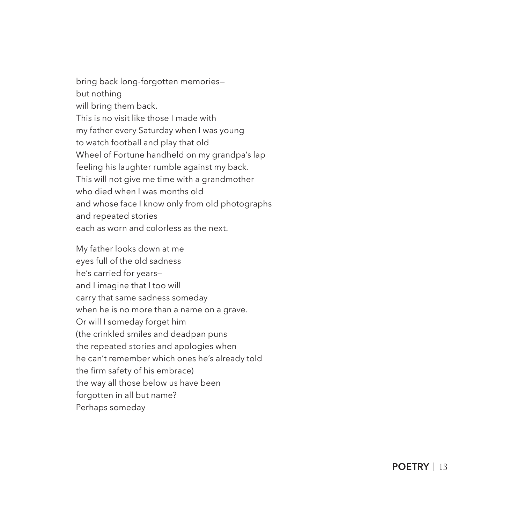bring back long-forgotten memories but nothing will bring them back. This is no visit like those I made with my father every Saturday when I was young to watch football and play that old Wheel of Fortune handheld on my grandpa's lap feeling his laughter rumble against my back. This will not give me time with a grandmother who died when I was months old and whose face I know only from old photographs and repeated stories each as worn and colorless as the next.

My father looks down at me eyes full of the old sadness he's carried for years and I imagine that I too will carry that same sadness someday when he is no more than a name on a grave. Or will I someday forget him (the crinkled smiles and deadpan puns the repeated stories and apologies when he can't remember which ones he's already told the firm safety of his embrace) the way all those below us have been forgotten in all but name? Perhaps someday

**POETRY** | 13